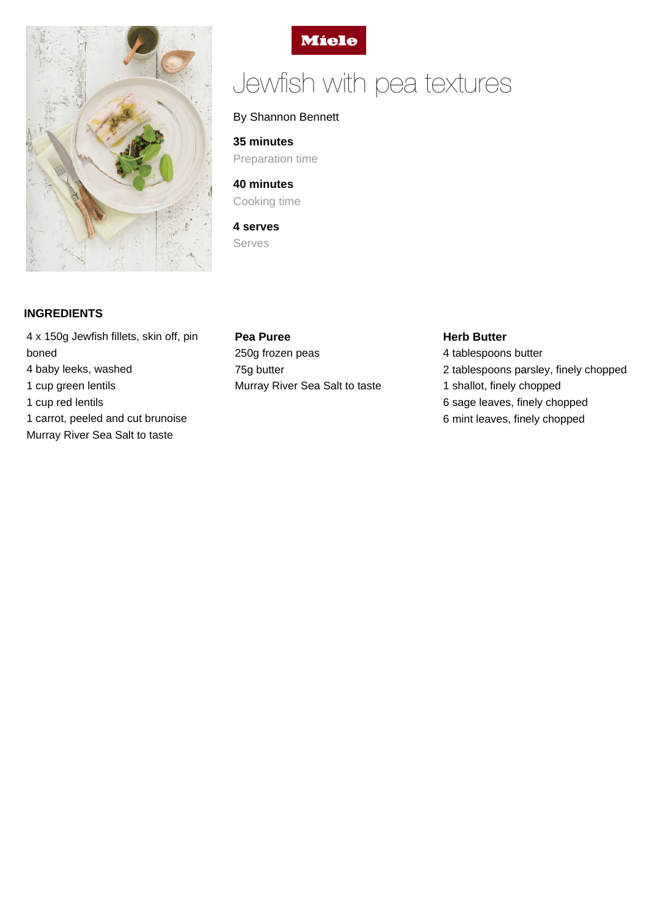



# Jewfish with pea textures

## By Shannon Bennett

**35 minutes** Preparation time

**40 minutes** Cooking time

**4 serves** Serves

# **INGREDIENTS**

4 x 150g Jewfish fillets, skin off, pin boned 4 baby leeks, washed 1 cup green lentils 1 cup red lentils 1 carrot, peeled and cut brunoise Murray River Sea Salt to taste

#### **Pea Puree**

250g frozen peas 75g butter Murray River Sea Salt to taste

### **Herb Butter**

4 tablespoons butter 2 tablespoons parsley, finely chopped 1 shallot, finely chopped 6 sage leaves, finely chopped 6 mint leaves, finely chopped